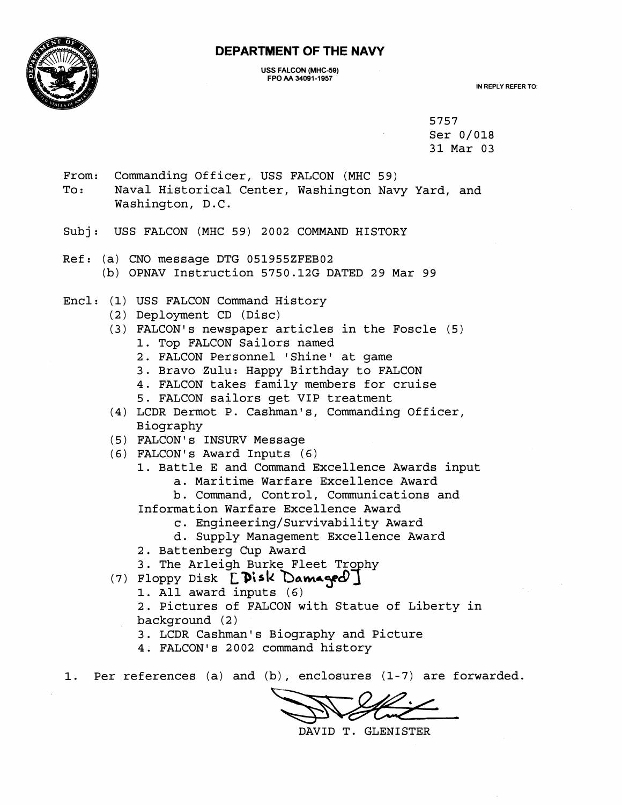



#### **USS FALCON (MHC-59) FPO AA 34091-1957**

**IN REPLY REFER TO:** 

5757 Ser 0/018 31 Mar 03

From: Commanding Officer, USS FALCON (MHC 59)

To: Naval Historical Center, Washington Navy Yard, and Washington, D.C.

Subj: USS FALCON (MHC 59) 2002 COMMAND HISTORY

Ref: (a) CNO message DTG 051955ZFEB02 (b) OPNAV Instruction 5750.12G DATED 29 Mar 99

Encl: (1) USS FALCON Command History

- (2) Deployment CD (Disc)
- $(3)$  FALCON's newspaper articles in the Foscle  $(5)$ 
	- 1. Top FALCON Sailors named
	- 2. FALCON Personnel 'Shine' at game
	- 3. Bravo Zulu: Happy Birthday to FALCON
	- 4. FALCON takes family members for cruise
	- 5. FALCON sailors get VIP treatment
- (4) LCDR Dermot P. Cashman's, Commanding Officer, Biography
- (5) FALCON's INSURV Message
- (6) FALCON' s Award Inputs ( 6)
	- 1. Battle E and Command Excellence Awards input a. Maritime Warfare Excellence Award

b. Command, Control, Communications and Information Warfare Excellence Award

c. **Engineering/Survivability** Award

d. Supply Management Excellence Award

2. Battenberg Cup Award

3. The Arleigh Burke Fleet Trophy

- **(7)** ~loppy Disk **~#sk bam+?f** 
	- 1. All award inputs (6)
	- 2. Pictures of FALCON with Statue of Liberty in background (2)
	- 3. LCDR Cashman's Biography and Picture
	- 4. FALCON's 2002 command history

1. Per references (a) and (b) , enclosures (1-7) are forwarded.

DAVID T. GLENISTER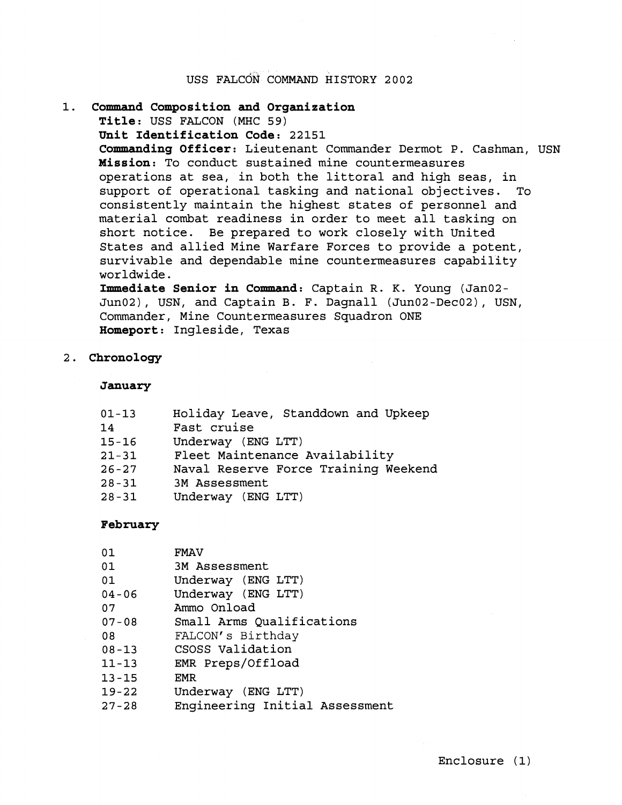# USS FALCON COMMAND HISTORY 2002

# **Command Composition and Organization Title:** USS FALCON (MHC 59) **Unit Identification Code:** 22151 **Commanding Officer:** Lieutenant Commander Dermot P. Cashman, USN **Mission:** To conduct sustained mine countermeasures operations at sea, in both the littoral and high seas, in support of operational tasking and national objectives. To consistently maintain the highest states of personnel and material combat readiness in order to meet all tasking on short notice. Be prepared to work closely with United States and allied Mine Warfare Forces to provide a potent, survivable and dependable mine countermeasures capability worldwide. **Immediate Senior in Command:** Captain R. **K.** Young (Jan02- Jun02), USN, and Captain B. F. Dagnall (Jun02-Dec02), USN, Commander, Mine Countermeasures Squadron ONE

**Homeport:** Ingleside, Texas

### 2. **Chronology**

#### **January**

| $01 - 13$ | Holiday Leave, Standdown and Upkeep  |
|-----------|--------------------------------------|
| 14        | Fast cruise                          |
| $15 - 16$ | Underway (ENG LTT)                   |
| $21 - 31$ | Fleet Maintenance Availability       |
| $26 - 27$ | Naval Reserve Force Training Weekend |
| $28 - 31$ | 3M Assessment                        |
| $28 - 31$ | Underway (ENG LTT)                   |
|           |                                      |

### **February**

| 01        | <b>FMAV</b>                    |
|-----------|--------------------------------|
| 01        | 3M Assessment                  |
| 01        | Underway (ENG LTT)             |
| $04 - 06$ | Underway (ENG LTT)             |
| 07        | Ammo Onload                    |
| $07 - 08$ | Small Arms Qualifications      |
| 08        | FALCON's Birthday              |
| $08 - 13$ | CSOSS Validation               |
| $11 - 13$ | EMR Preps/Offload              |
| $13 - 15$ | EMR                            |
| $19 - 22$ | Underway (ENG LTT)             |
| $27 - 28$ | Engineering Initial Assessment |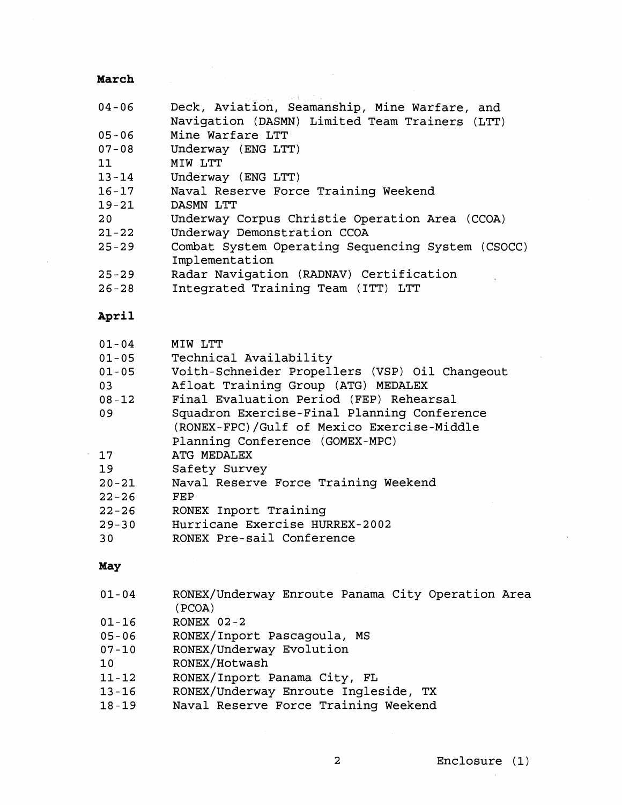# **March**

| $04 - 06$ | Deck, Aviation, Seamanship, Mine Warfare, and<br>Navigation (DASMN) Limited Team Trainers (LTT) |
|-----------|-------------------------------------------------------------------------------------------------|
| $05 - 06$ | Mine Warfare LTT                                                                                |
| $07 - 08$ | Underway (ENG LTT)                                                                              |
| 11        | MIW LTT                                                                                         |
| $13 - 14$ | Underway (ENG LTT)                                                                              |
| $16 - 17$ | Naval Reserve Force Training Weekend                                                            |
| $19 - 21$ | DASMN LTT                                                                                       |
| 20        | Underway Corpus Christie Operation Area (CCOA)                                                  |
| $21 - 22$ | Underway Demonstration CCOA                                                                     |
|           |                                                                                                 |
| $25 - 29$ | Combat System Operating Sequencing System (CSOCC)                                               |
|           | Implementation                                                                                  |
| $25 - 29$ | Radar Navigation (RADNAV) Certification                                                         |
| $26 - 28$ | Integrated Training Team (ITT) LTT                                                              |
| April     |                                                                                                 |
| $01 - 04$ | MIW LTT                                                                                         |
| $01 - 05$ | Technical Availability                                                                          |
| $01 - 05$ | Voith-Schneider Propellers (VSP) Oil Changeout                                                  |
| 03        | Afloat Training Group (ATG) MEDALEX                                                             |
| $08 - 12$ | Final Evaluation Period (FEP) Rehearsal                                                         |
| 09        | Squadron Exercise-Final Planning Conference                                                     |
|           | (RONEX-FPC)/Gulf of Mexico Exercise-Middle                                                      |
|           | Planning Conference (GOMEX-MPC)                                                                 |
| 17        | ATG MEDALEX                                                                                     |
| 19        | Safety Survey                                                                                   |
| $20 - 21$ | Naval Reserve Force Training Weekend                                                            |
| $22 - 26$ | <b>FEP</b>                                                                                      |
| $22 - 26$ | RONEX Inport Training                                                                           |
| $29 - 30$ | Hurricane Exercise HURREX-2002                                                                  |
| 30        | RONEX Pre-sail Conference                                                                       |
| May       |                                                                                                 |
| $01 - 04$ | RONEX/Underway Enroute Panama City Operation Area                                               |
|           | (PCOA)                                                                                          |
| $01 - 16$ | RONEX $02-2$                                                                                    |
| $05 - 06$ | RONEX/Inport Pascagoula, MS                                                                     |
| $07 - 10$ | RONEX/Underway Evolution                                                                        |
| 10        | RONEX/Hotwash                                                                                   |
| $11 - 12$ | RONEX/Inport Panama City, FL                                                                    |
| $13 - 16$ | RONEX/Underway Enroute Ingleside, TX                                                            |

Naval Reserve Force Training Weekend

 $\ddot{\phantom{a}}$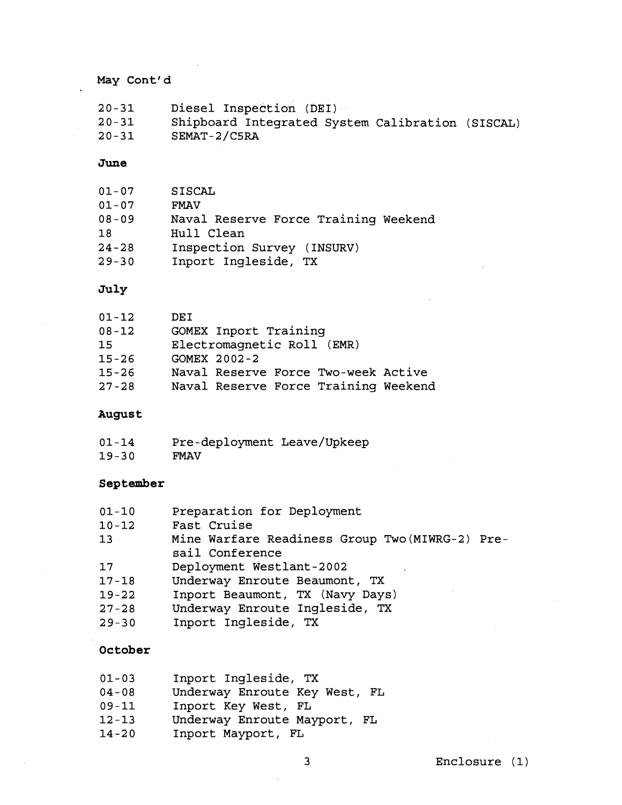# May Cont'd

| $20 - 31$ | Diesel Inspection (DEI)                          |
|-----------|--------------------------------------------------|
| $20 - 31$ | Shipboard Integrated System Calibration (SISCAL) |
| $20 - 31$ | SEMAT-2/C5RA                                     |

#### **June**

| $01 - 07$ | <b>SISCAL</b>                        |
|-----------|--------------------------------------|
| $01 - 07$ | <b>FMAV</b>                          |
| $08 - 09$ | Naval Reserve Force Training Weekend |
| 18        | Hull Clean                           |
| 24-28     | Inspection Survey (INSURV)           |
| $29 - 30$ | Inport Ingleside, TX                 |

#### **July**

| $01 - 12$ | DEI                                  |
|-----------|--------------------------------------|
| $08 - 12$ | <b>GOMEX Inport Training</b>         |
| 15        | Electromagnetic Roll (EMR)           |
| $15 - 26$ | GOMEX 2002-2                         |
| $15 - 26$ | Naval Reserve Force Two-week Active  |
| $27 - 28$ | Naval Reserve Force Training Weekend |

#### August

| $01 - 14$ | Pre-deployment Leave/Upkeep |  |
|-----------|-----------------------------|--|
| $19 - 30$ | <b>FMAV</b>                 |  |

#### **September**

| $01 - 10$ | Preparation for Deployment                      |
|-----------|-------------------------------------------------|
| $10 - 12$ | Fast Cruise                                     |
| 13        | Mine Warfare Readiness Group Two (MIWRG-2) Pre- |
|           |                                                 |

sail conference

- 17 Deployment Westlant-2002
- 17-18 Underway Enroute Beaumont, TX
- 19-22 Inport Beaumont, TX (Navy Days)<br>27-28 Underway Enroute Ingleside, TX
- Underway Enroute Ingleside, TX
- 29-30 Inport Ingleside, TX

### **October**

| $01 - 03$ |  | Inport Ingleside, TX |  |
|-----------|--|----------------------|--|
|-----------|--|----------------------|--|

- 04-08 Underway Enroute Key West, FL
- 09-11 Inport Key West, FL
- 12-13 Underway Enroute Mayport, FL
- 14-20 Inport Mayport, FL

 $\overline{\mathbf{3}}$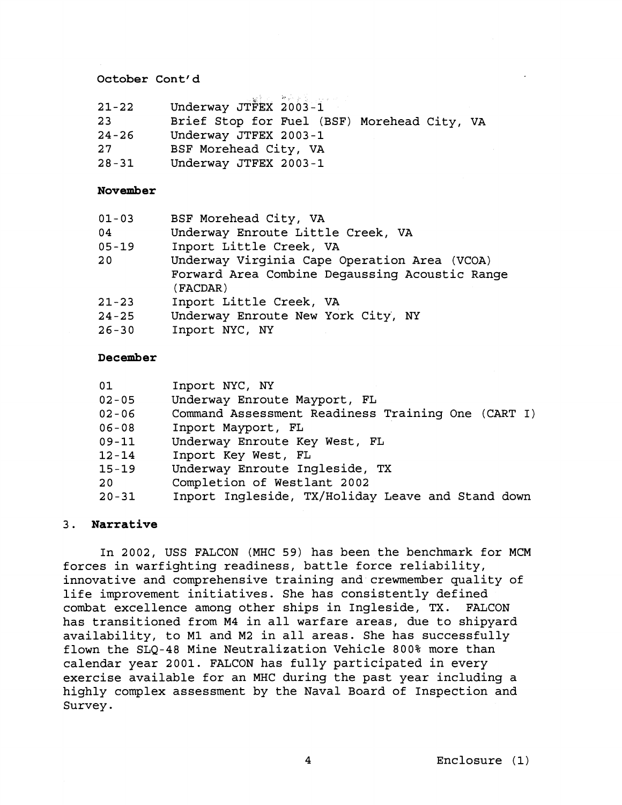### **October Cont' d**

| $21 - 22$ | Underway JTFEX 2003-1 |  |
|-----------|-----------------------|--|

- 23 Brief Stop for Fuel (BSF) Morehead City, VA
- 24-26 Underway JTFEX 2003-1
- 27 BSF Morehead City, VA
- 28-31 Underway JTFEX 2003-1

### **November**

| $01 - 03$ | BSF Morehead City, VA                                      |
|-----------|------------------------------------------------------------|
| 04        | Underway Enroute Little Creek, VA                          |
| $05 - 19$ | Inport Little Creek, VA                                    |
| 20        | Underway Virginia Cape Operation Area (VCOA)               |
|           | Forward Area Combine Degaussing Acoustic Range<br>(FACDAR) |
| $21 - 23$ | Inport Little Creek, VA                                    |
| $24 - 25$ | Underway Enroute New York City, NY                         |
| $26 - 30$ | Inport NYC, NY                                             |

### **December**

| 01        | Inport NYC, NY                                     |
|-----------|----------------------------------------------------|
| $02 - 05$ | Underway Enroute Mayport, FL                       |
| $02 - 06$ | Command Assessment Readiness Training One (CART I) |
| $06 - 08$ | Inport Mayport, FL                                 |
| $09 - 11$ | Underway Enroute Key West, FL                      |
| $12 - 14$ | Inport Key West, FL                                |
| $15 - 19$ | Underway Enroute Ingleside, TX                     |
| 20        | Completion of Westlant 2002                        |
| $20 - 31$ | Inport Ingleside, TX/Holiday Leave and Stand down  |

### 3. **Narrative**

In 2002, USS FALCON (MHC 59) has been the benchmark for MCM forces in warfighting readiness, battle force reliability, innovative and comprehensive training and crewmember quality of life improvement initiatives. She has consistently defined combat excellence among other ships in Ingleside, TX. FALCON has transitioned from M4 in all warfare areas, due to shipyard availability, to M1 and M2 in all areas. She has successfully flown the SLQ-48 Mine Neutralization Vehicle 800% more than calendar year 2001. FALCON has fully participated in every exercise available for an MHC during the past year including a highly complex assessment by the Naval Board of Inspection and Survey.

Enclosure (1)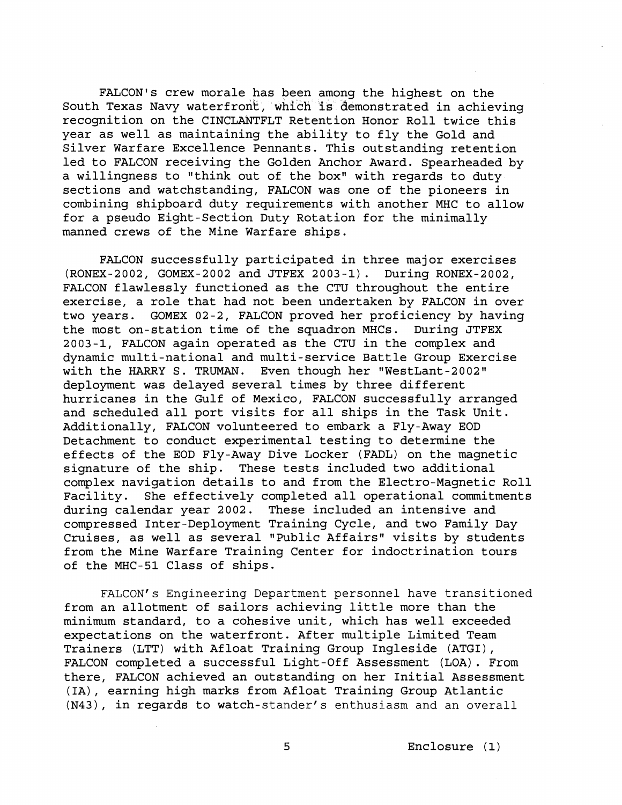FALCON'S crew morale has been among the highest on the South Texas Navy waterfront, which is demonstrated in achieving recognition on the CINCLANTFLT Retention Honor Roll twice this year as well as maintaining the ability to fly the Gold and Silver Warfare Excellence Pennants. This outstanding retention led to FALCON receiving the Golden Anchor Award. Spearheaded by a willingness to "think out of the box" with regards to duty sections and watchstanding, FALCON was one of the pioneers in combining shipboard duty requirements with another MHC to allow for a pseudo Eight-Section Duty Rotation for the minimally manned crews of the Mine Warfare ships.

FALCON successfully participated in three major exercises (RONEX-2002, GOMEX-2002 and JTFEX 2003-1). During RONEX-2002, FALCON flawlessly functioned as the CTU throughout the entire exercise, a role that had not been undertaken by FALCON in over two years. GOMEX 02-2, FALCON proved her proficiency by having the most on-station time of the squadron MHCs. During JTFEX 2003-1, FALCON again operated as the CTU in the complex and dynamic multi-national and multi-service Battle Group Exercise<br>with the HARRY S. TRUMAN. Even though her "WestLant-2002" Even though her "WestLant-2002" deployment was delayed several times by three different hurricanes in the Gulf of Mexico, FALCON successfully arranged and scheduled all port visits for all ships in the Task Unit. Additionally, FALCON volunteered to embark a Fly-Away EOD Detachment to conduct experimental testing to determine the effects of the EOD Fly-Away Dive Locker (FADL) on the magnetic signature of the ship. These tests included two additional complex navigation details to and from the Electro-Magnetic Roll Facility. She effectively completed all operational commitments during calendar year 2002. These included an intensive and compressed Inter-Deployment Training Cycle, and two Family Day Cruises, as well as several "Public Affairs" visits by students from the Mine Warfare Training Center for indoctrination tours of the MHC-51 Class of ships.

FALCON'S Engineering Department personnel have transitioned from an allotment of sailors achieving little more than the minimum standard, to a cohesive unit, which has well exceeded expectations on the waterfront. After multiple Limited Team Trainers (LTT) with Afloat Training Group Ingleside (ATGI), FALCON completed a successful Light-Off Assessment (LOA). From there, FALCON achieved an outstanding on her Initial Assessment (IA), earning high marks from Afloat Training Group Atlantic (N43), in regards to watch-stander's enthusiasm and an overall

5 Enclosure (1)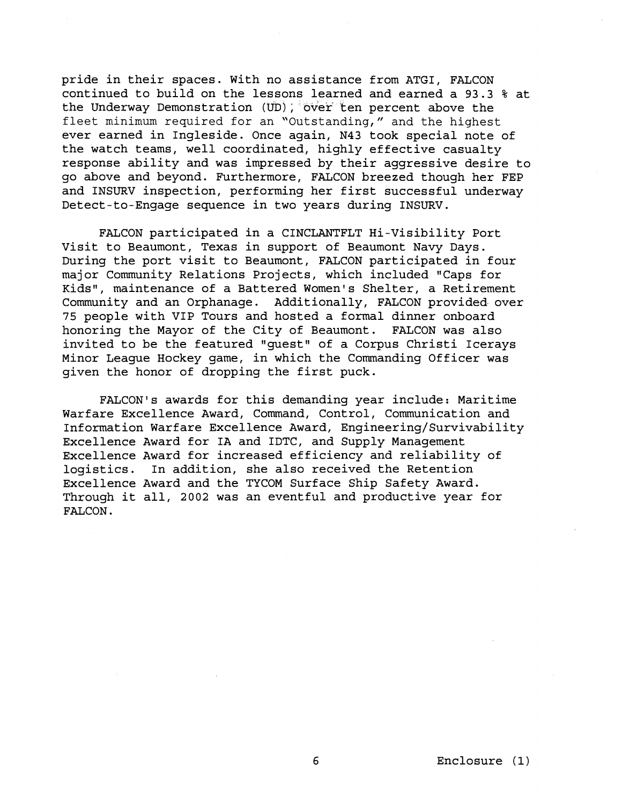pride in their spaces. With no assistance from ATGI, FALCON continued to build on the lessons learned and earned a 93.3 % at the Underway Demonstration (UD); over ten percent above the fleet minimum required for an "Outstanding," and the highest ever earned in Ingleside. Once again, N43 took special note of the watch teams, well coordinated, highly effective casualty response ability and was impressed by their aggressive desire to go above and beyond. Furthermore, FALCON breezed though her FEP and INSURV inspection, performing her first successful underway Detect-to-Engage sequence in two years during INSURV.

FALCON participated in a CINCLANTFLT Hi-Visibility Port Visit to Beaumont, Texas in support of Beaumont Navy Days. During the port visit to Beaumont, FALCON participated in four major Community Relations Projects, which included "Caps for Kids", maintenance of a Battered Women's Shelter, a Retirement Community and an Orphanage. Additionally, FALCON provided over 75 people with VIP Tours and hosted a formal dinner onboard honoring the Mayor of the City of Beaumont. FALCON was also invited to be the featured "guest" of a Corpus Christi Icerays Minor League Hockey game, in which the Commanding Officer was given the honor of dropping the first puck.

FALCON'S awards for this demanding year include: Maritime Warfare Excellence Award, Command, Control, Communication and Information Warfare Excellence Award, **Engineering/Survivability**  Excellence Award for IA and IDTC, and Supply Management Excellence Award for increased efficiency and reliability of logistics. In addition, she also received the Retention Excellence Award and the TYCOM Surface Ship Safety Award. Through it all, 2002 was an eventful and productive year for FALCON.

6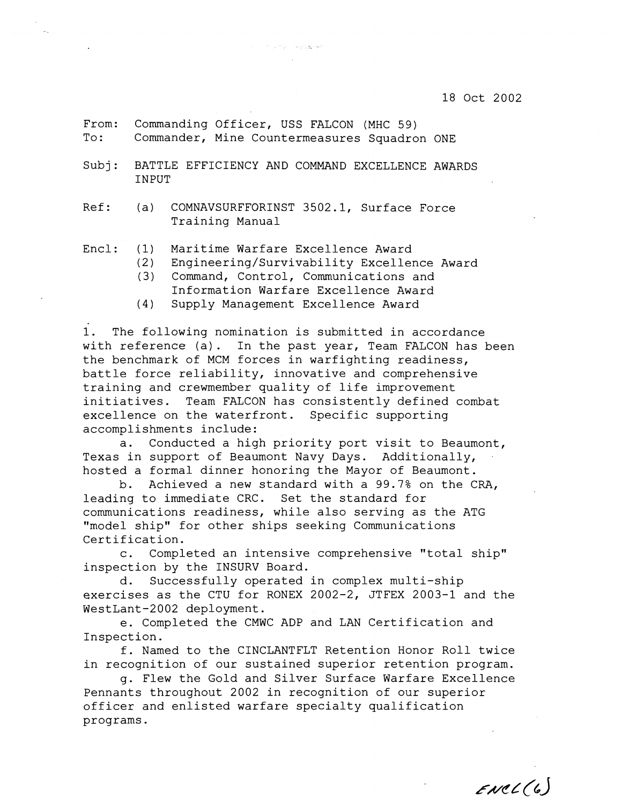- From: Commanding Officer, USS FALCON (MHC 59) To: Commander, Mine Countermeasures Squadron ONE
- Subj: BATTLE EFFICIENCY AND COMMAND EXCELLENCE AWARDS INPUT

The Company Assistance

Ref: (a) COMNAVSURFFORINST 3502.1, Surface Force Training Manual

Encl: (1) Maritime Warfare Excellence Award

(2) Engineering/Survivability Excellence Award

- (3) Command, Control, Communications and
- Information Warfare Excellence Award
- (4) Supply Management Excellence Award

1. The following nomination is submitted in accordance with reference (a). In the past year, Team FALCON has been the benchmark of MCM forces in warfighting readiness, battle force reliability, innovative and comprehensive training and crewmember quality of life improvement initiatives. Team FALCON has consistently defined combat excellence on the waterfront. Specific supporting accomplishments include:

a. Conducted a high priority port visit to Beaumont, Texas in support of Beaumont Navy Days. Additionally, hosted a formal dinner honoring the Mayor of Beaumont.

b. Achieved a new standard with a 99.7% on the CRA, leading to immediate CRC. Set the standard for communications readiness, while also serving as the ATG "model ship" for other ships seeking Communications Certification.

c. Completed an intensive comprehensive "total ship" inspection by the INSURV Board.

d. Successfully operated in complex multi-ship exercises as the CTU for RONEX 2002-2, JTFEX 2003-1 and the WestLant-2002 deployment.

e. Completed the CMWC ADP and LAN Certification and Inspection.

f. Named to the CINCLANTFLT Retention Honor Roll twice in recognition of our sustained superior retention program.

g. Flew the Gold and Silver Surface Warfare Excellence Pennants throughout 2002 in recognition of our superior officer and enlisted warfare specialty qualification programs.

 $EUCL(G)$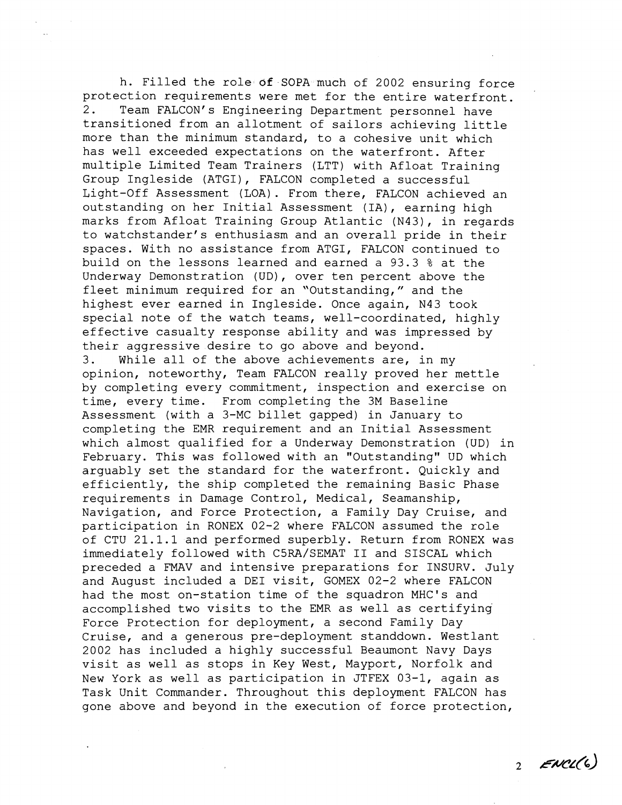h. Filled the role **of** SOPA much of 2002 ensuring force protection requirements were met for the entire waterfront. 2. Team FALCON'S Engineering Department personnel have transitioned from an allotment of sailors achieving little more than the minimum standard, to a cohesive unit which has well exceeded expectations on the waterfront. After multiple Limited Team Trainers (LTT) with Afloat Training Group Ingleside (ATGI), FALCON completed a successful Light-Off Assessment (LOA). From there, FALCON achieved an outstanding on her Initial Assessment (IA), earning high marks from Afloat Training Group Atlantic (N43), in regards to watchstander's enthusiasm and an overall pride in their spaces. With no assistance from ATGI, FALCON continued to build on the lessons learned and earned a 93.3 % at the Underway Demonstration (UD), over ten percent above the fleet minimum required for an "Outstanding," and the highest ever earned in Ingleside. Once again, N43 took special note of the watch teams, well-coordinated, highly effective casualty response ability and was impressed by their aggressive desire to go above and beyond. 3. While all of the above achievements are, in my opinion, noteworthy, Team FALCON really proved her mettle by completing every commitment, inspection and exercise on time, every time. From completing the 3M Baseline Assessment (with a 3-MC billet gapped) in January to completing the EMR requirement and an Initial Assessment which almost qualified for a Underway Demonstration (UD) in February. This was followed with an "Outstanding" UD which arguably set the standard for the waterfront. Quickly and efficiently, the ship completed the remaining Basic Phase requirements in Damage Control, Medical, Seamanship, Navigation, and Force Protection, a Family Day Cruise, and participation in RONEX 02-2 where FALCON assumed the role of CTU 21.1.1 and performed superbly. Return from RONEX was immediately followed with C5RA/SEMAT I1 and SISCAL which preceded a FMAV and intensive preparations for INSURV. July and August included a DEI visit, GOMEX 02-2 where FALCON had the most on-station time of the squadron MHC's and accomplished two visits to the EMR as well as certifying Force Protection for deployment, a second Family Day Cruise, and a generous pre-deployment standdown. Westlant 2002 has included a highly successful Beaumont Navy Days visit as well as stops in Key West, Mayport, Norfolk and New York as well as participation in JTFEX 03-1, again as Task Unit Commander. Throughout this deployment FALCON has gone above and beyond in the execution of force protection,

 $2$  ENCL(6)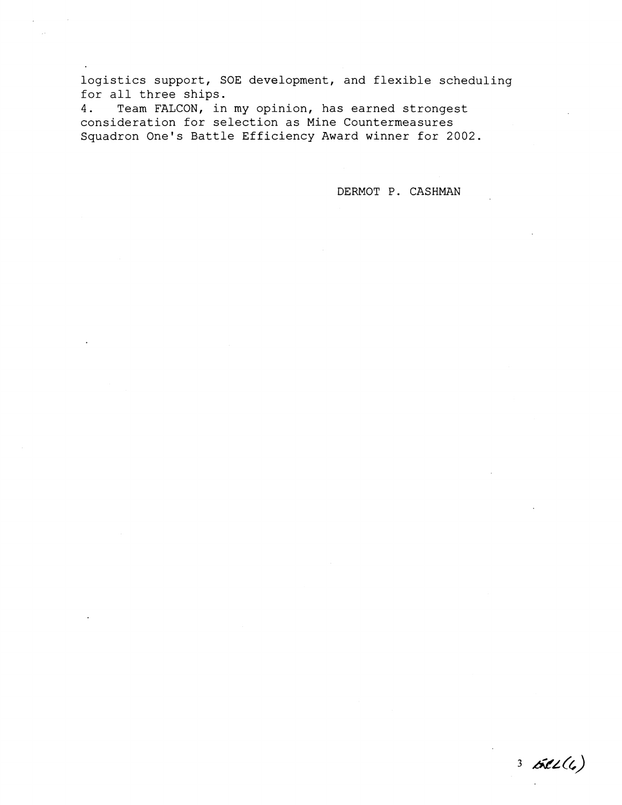logistics support, SOE development, and flexible scheduling for all three ships.<br>4. Team FALCON, in

Team FALCON, in my opinion, has earned strongest consideration for selection as Mine Countermeasures Squadron One's Battle Efficiency Award winner for 2002.

DERMOT P. CASHMAN

 $3662(6)$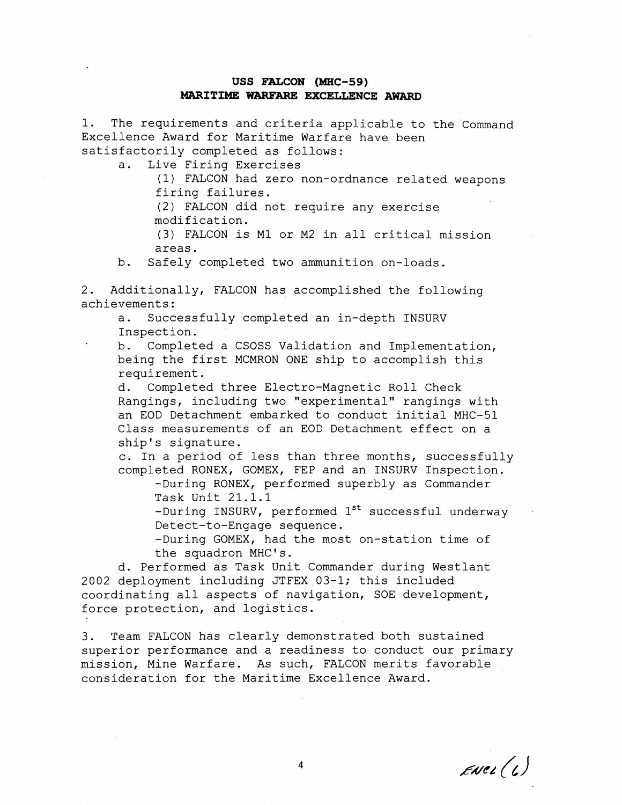### **USS FALCON (MHC-59) MARITIME WARFARE EXCELLENCE AWARD**

1. The requirements and criteria applicable to the Command Excellence Award for Maritime Warfare have been satisfactorily completed as follows:

a. Live Firing Exercises

(1) FALCON had zero non-ordnance related weapons firing failures.

(2) FALCON did not require any exercise modification.

(3) FALCON is MI or M2 in all critical mission areas.

b. Safely completed two ammunition on-loads.

2. Additionally, FALCON has accomplished the following achievements:

a. Successfully completed an in-depth INSURV Inspection.

b. Completed a CSOSS Validation and Implementation, being the first MCMRON ONE ship to accomplish this requirement.

d. Completed three Electro-Magnetic Roll Check Rangings, including two "experimental" rangings with an EOD Detachment embarked to conduct initial MHC-51 Class measurements of an EOD Detachment effect on a ship's signature.

c. In a period of less than three months, successfully completed RONEX, GOMEX, FEP and an INSURV Inspection.

-During RONEX, performed superbly as Commander Task Unit 21.1.1

-During INSURV, performed  $1^{st}$  successful underway Detect-to-Engage sequence.

-During GOMEX, had the most on-station time of the squadron MHC's.

d. Performed as Task Unit Commander during Westlant 2002 deployment including JTFEX 03-1; this included coordinating all aspects of navigation, SOE development, force protection, and logistics.

3. Team FALCON has clearly demonstrated both sustained superior performance and a readiness to conduct our primary mission, Mine Warfare. As such, FALCON merits favorable consideration for the Maritime Excellence Award.

 $E$ Nel $(l)$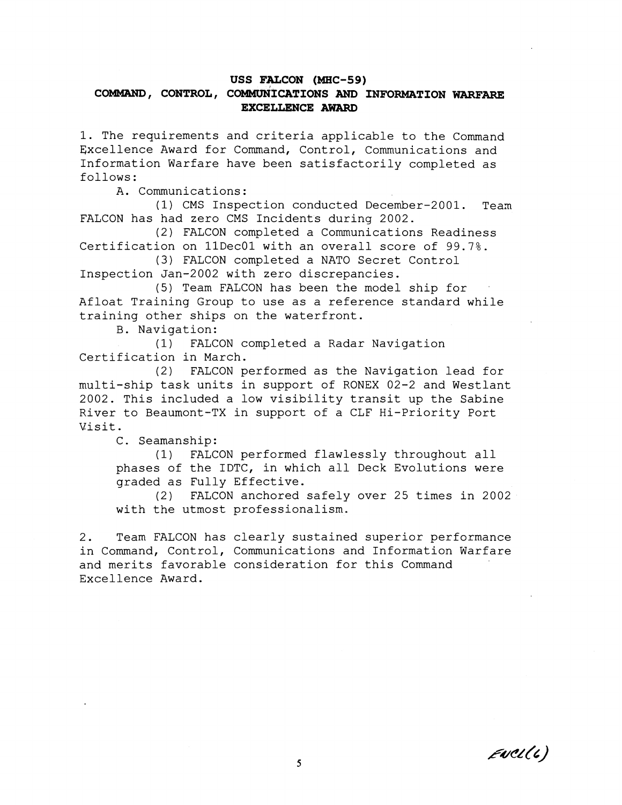# **USS FALCON (MHC-59)**  COMMAND, CONTROL, COMMUNICATIONS AND INFORMATION WARFARE **EXCELLENCE AWARD**

1. The requirements and criteria applicable to the Command Excellence Award for Command, Control, Communications and Information Warfare have been satisfactorily completed as follows :

A. Communications:

(1) CMS Inspection conducted December-2001. Tean FALCON has had zero CMS Incidents during 2002.

(2) FALCON completed a Comunications Readiness Certification on llDecOl with an overall score of 99.7%.

(3) FALCON completed a NATO Secret Control Inspection Jan-2002 with zero discrepancies.

(5) Team FALCON has been the model ship for Afloat Training Group to use as a reference standard while training other ships on the waterfront.

B. Navigation:

(1) FALCON completed a Radar Navigation Certification in March.

(2) FALCON performed as the Navigation lead for multi-ship task units in support of RONEX 02-2 and Westlant 2002. This included a low visibility transit up the Sabine River to Beaumont-TX in support of a CLF Hi-Priority Port Visit.

C. Seamanship:

(1) FALCON performed flawlessly throughout all phases of the IDTC, in which all Deck Evolutions were graded as Fully Effective.

(2) FALCON anchored safely over 25 times in 2002 with the utmost professionalism.

2. Team FALCON has clearly sustained superior performance in Command, Control, Communications and Information Warfare and merits favorable consideration for this Command Excellence Award.

 $E \text{ucl}(t)$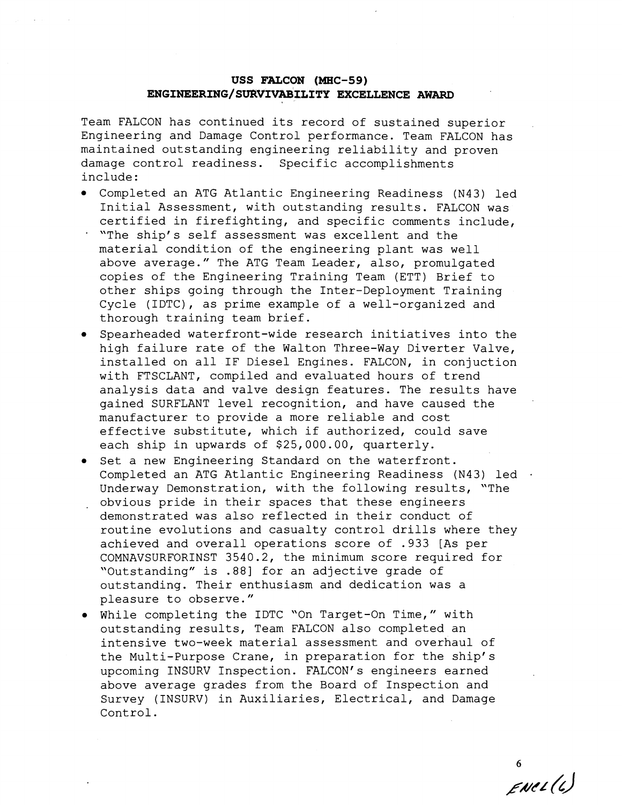# **USS** FALCON (MHC-59) **ENGINEERING/SURVIVABILITY** EXCELLENCE AWARD

Team FALCON has continued its record of sustained superior Engineering and Damage Control performance. Team FALCON has maintained outstanding engineering reliability and proven damage control readiness. Specific accomplishments include :

- Completed an ATG Atlantic Engineering Readiness (N43) led Initial Assessment, with outstanding results. FALCON was certified in firefighting, and specific comments include,
- "The ship's self assessment was excellent and the material condition of the engineering plant was well above average." The ATG Team Leader, also, promulgated copies of the Engineering Training Team (ETT) Brief to other ships going through the Inter-Deployment Training Cycle (IDTC), as prime example of a well-organized and thorough training team brief.
- Spearheaded waterfront-wide research initiatives into the high failure rate of the Walton Three-Way Diverter Valve, installed on all IF Diesel Engines. FALCON, in conjuction with FTSCLANT, compiled and evaluated hours of trend analysis data and valve design features. The results have gained SURFLANT level recognition, and have caused the manufacturer to provide a more reliable and cost effective substitute, which if authorized, could save each ship in upwards of \$25,000.00, quarterly.
- **•** Set a new Engineering Standard on the waterfront. Completed an ATG Atlantic Engineering Readiness (N43) led Underway Demonstration, with the following results, "The . obvious pride in their spaces that these engineers demonstrated was also reflected in their conduct of routine evolutions and casualty control drills where they achieved and overall operations score of .933 [As per COMNAVSURFORINST 3540.2, the minimum score required for "Outstanding" is .88] for an adjective grade of outstanding. Their enthusiasm and dedication was a pleasure to observe."
- While completing the IDTC "On Target-On Time," with outstanding results, Team FALCON also completed an intensive two-week material assessment and overhaul of the Multi-Purpose Crane, in preparation for the ship's upcoming INSURV Inspection. FALCON'S engineers earned above average grades from the Board of Inspection and Survey (INSURV) in Auxiliaries, Electrical, and Damage Control.

 $ENet(t)$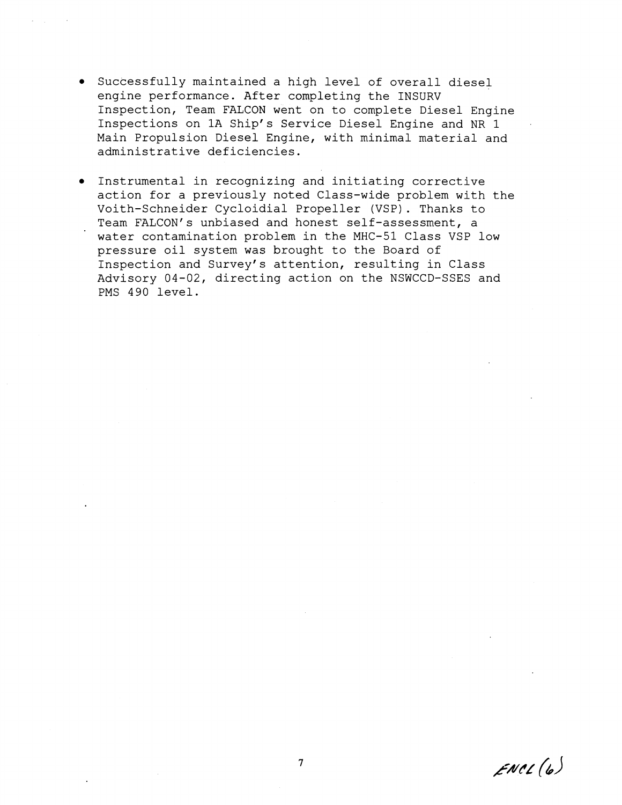- Successfully maintained a high level of overall diesel engine performance. After completing the INSURV Inspection, Team FALCON went on to complete Diesel Engine Inspections on 1A Ship's Service Diesel Engine and NR 1 Main Propulsion Diesel Engine, with minimal material and administrative deficiencies.
- Instrumental in recognizing and initiating corrective action for a previously noted Class-wide problem with the Voith-Schneider Cycloidial Propeller (VSP). Thanks to Team FALCON'S unbiased and honest self-assessment, a water contamination problem in the MHC-51 Class VSP low pressure oil system was brought to the Board of Inspection and Survey's attention, resulting in Class Advisory 04-02, directing action on the NSWCCD-SSES and PMS 490 level.

 $ENCL(6)$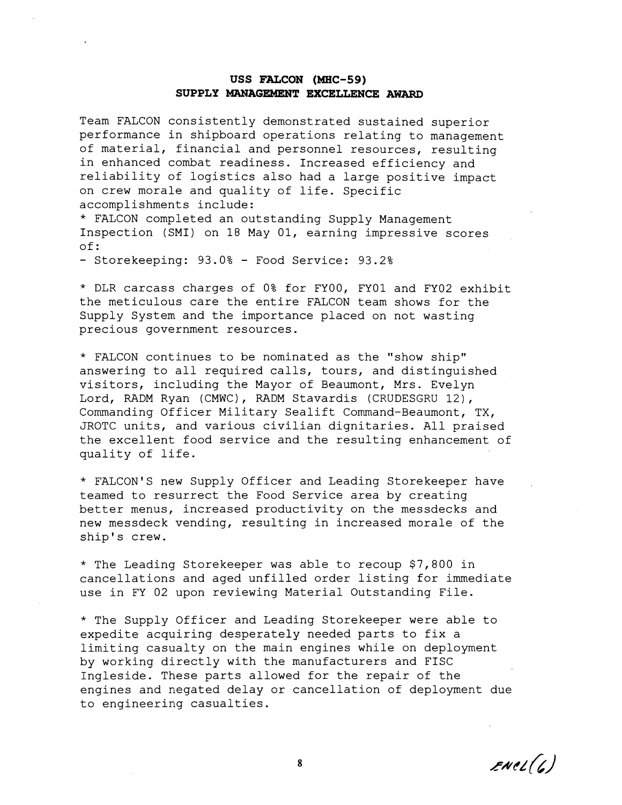# USS **FALCON** (MHC-59) **SUPPLY MANAGEMENT EXCELLENCE AWARD**

Team FALCON consistently demonstrated sustained superior performance in shipboard operations relating to management of material, financial and personnel resources, resulting in enhanced combat readiness. Increased efficiency and reliability of logistics also had a large positive impact on crew morale and quality of life. Specific accomplishments include:

\* FALCON completed an outstanding Supply Management Inspection (SMI) on 18 May 01, earning impressive scores of:

- Storekeeping: 93.0% - Food Service: 93.2%

\* DLR carcass charges of 0% for FYOO, FYOl and FY02 exhibit the meticulous care the entire FALCON team shows for the Supply System and the importance placed on not wasting precious government resources.

\* FALCON continues to be nominated as the "show ship" answering to all required calls, tours, and distinguished visitors, including the Mayor of Beaumont, Mrs. Evelyn Lord, RADM Ryan (CMWC), RADM Stavardis (CRUDESGRU 12),<br>Commanding Officer Military Sealift Command-Beaumont, TX, JROTC units, and various civilian dignitaries. All praised the excellent food service and the resulting enhancement of quality of life.

\* FALCON'S new Supply Officer and Leading Storekeeper have teamed to resurrect the Food Service area by creating better menus, increased productivity on the messdecks and new messdeck vending, resulting in increased morale of the ship's crew.

\* The Leading Storekeeper was able to recoup \$7,800 in cancellations and aged unfilled order listing for immediate use in FY 02 upon reviewing Material Outstanding File.

\* The Supply Officer and Leading Storekeeper were able to expedite acquiring desperately needed parts to fix a limiting casualty on the main engines while on deployment by working directly with the manufacturers and FISC Ingleside. These parts allowed for the repair of the engines and negated delay or cancellation of deployment due to engineering casualties.

 $enel(b)$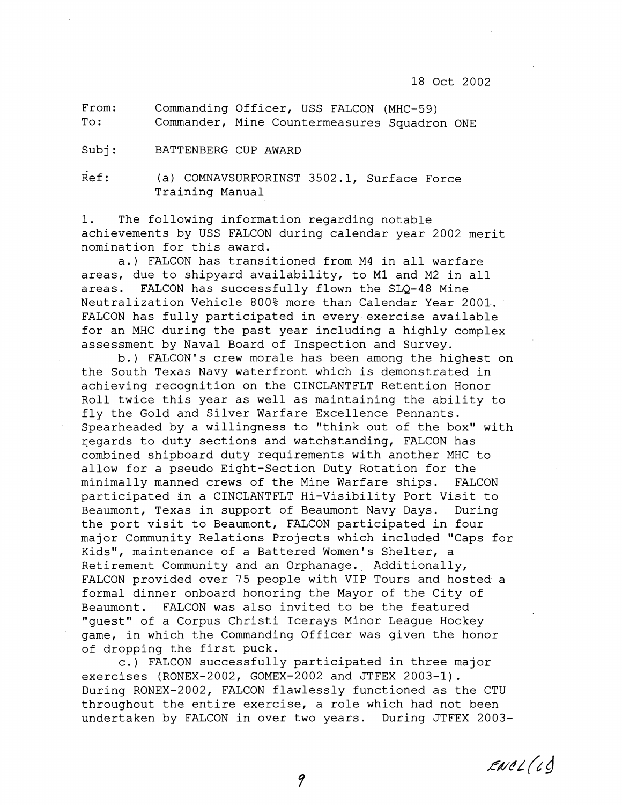#### 18 Oct 2002

From: Commanding Officer, USS FALCON (MHC-59) To: Commander, Mine Countermeasures Squadron ONE

Subj: BATTENBERG CUP AWARD

Ref: (a) COMNAVSURFORINST 3502.1, Surface Force Training Manual

1. The following information regarding notable achievements by USS FALCON during calendar year 2002 merit nomination for this award.

a,) FALCON has transitioned from M4 in all warfare areas, due to shipyard availability, to M1 and M2 in all areas. FALCON has successfully flown the SLQ-48 Mine Neutralization Vehicle 800% more than Calendar Year 2001.. FALCON has fully participated in every exercise available for an MHC during the past year including a highly complex assessment by Naval Board of Inspection and Survey.

b.) FALCON'S crew morale has been among the highest on the South Texas Navy waterfront which is demonstrated in achieving recognition on the CINCLANTFLT Retention Honor Roll twice this year as well as maintaining the ability to fly the Gold and Silver Warfare Excellence Pennants. Spearheaded by a willingness to "think out of the box" with regards to duty sections and watchstanding, FALCON has combined shipboard duty requirements with another MHC to allow for a pseudo Eight-Section Duty Rotation for the minimally manned crews of the Mine Warfare ships. FALCON participated in a CINCLANTFLT Hi-Visibility Port Visit to Beaumont, Texas in support of Beaumont Navy Days. During the port visit to Beaumont, FALCON participated in four major Community Relations Projects which included "Caps for Kids", maintenance of a Battered Women's Shelter, a Retirement Community and an Orphanage. Additionally, FALCON provided over 75 people with VIP Tours and hosted a formal dinner onboard honoring the Mayor of the City of Beaumont. FALCON was also invited to be the featured "guest" of a Corpus Christi Icerays Minor League Hockey game, in which the Commanding Officer was given the honor of dropping the first puck.

c.) FALCON successfully participated in three major exercises (RONEX-2002, GOMEX-2002 and JTFEX 2003-1) . During RONEX-2002, FALCON flawlessly functioned as the CTU throughout the entire exercise, a role which had not been undertaken by FALCON in over two years. During JTFEX 2003-

 $Evol(L)$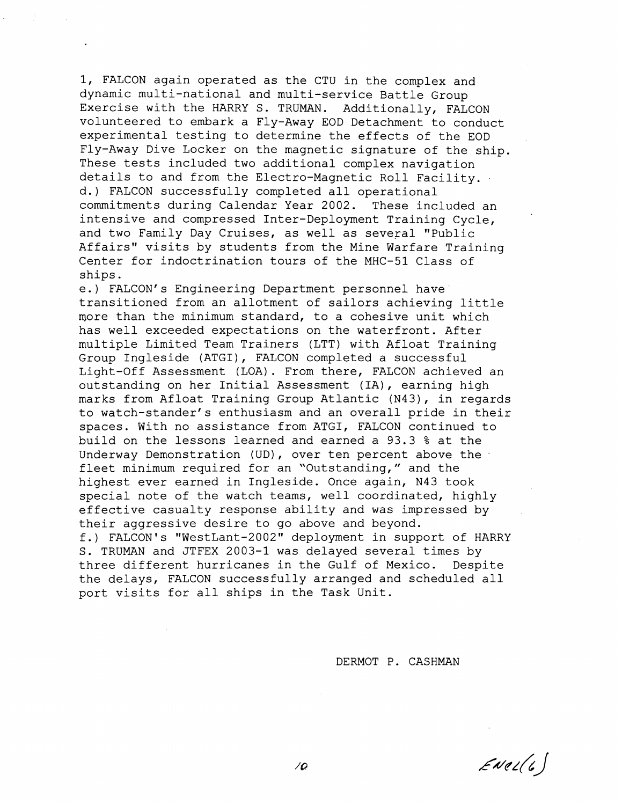1, FALCON again operated as the CTU in the complex and dynamic multi-national and multi-service Battle Group Exercise with the HARRY S. TRUMAN. Additionally, FALCON volunteered to embark a Fly-Away EOD Detachment to conduct experimental testing to determine the effects of the EOD Fly-Away Dive Locker on the magnetic signature of the ship. These tests included two additional complex navigation details to and from the Electro-Magnetic Roll Facility. . d.) FALCON successfully completed all operational commitments during Calendar Year 2002. These included an intensive and compressed Inter-Deployment Training Cycle, and two Family Day Cruises, as well as several "Public Affairs" visits by students from the Mine Warfare Training Center for indoctrination tours of the MHC-51 Class of ships.

e.) FALCON'S Engineering Department personnel have transitioned from an allotment of sailors achieving little more than the minimum standard, to a cohesive unit which has well exceeded expectations on the waterfront. After multiple Limited Team Trainers (LTT) with Afloat Training Group Ingleside (ATGI), FALCON completed a successful Light-Off Assessment (LOA). From there, FALCON achieved an outstanding on her Initial Assessment (IA), earning high marks from Afloat Training Group Atlantic (N43), in regards to watch-stander's enthusiasm and an overall pride in their spaces. With no assistance from ATGI, FALCON continued to build on the lessons learned and earned a 93.3 % at the Underway Demonstration (UD), over ten percent above the . fleet minimum required for an "Outstanding," and the highest ever earned in Ingleside. Once again, N43 took special note of the watch teams, well coordinated, highly effective casualty response ability and was impressed by their aggressive desire to go above and beyond. f.) FALCON'S "WestLant-2002" deployment in support of HARRY S. TRUMAN and JTFEX 2003-1 was delayed several times by three different hurricanes in the Gulf of Mexico. Despite the delays, FALCON successfully arranged and scheduled all port visits for all ships in the Task Unit.

DERMOT P. CASHMAN

 $Evel(t)$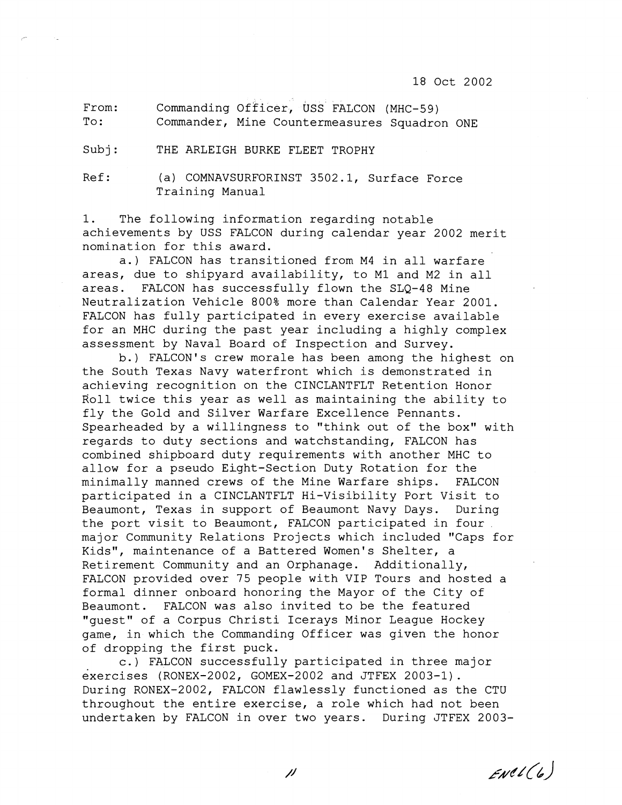From: Commanding Officer, uss FALCON (MHC-59) To: Commander, Mine Countermeasures Squadron ONE

Subj: THE ARLEIGH BURKE FLEET TROPHY

Ref: (a) COMNAVSURFORINST 3502.1, Surface Force Training Manual

1. The following information regarding notable achievements by USS FALCON during calendar year 2002 merit nomination for this award.

a.) FALCON has transitioned from M4 in all warfare areas, due to shipyard availability, to MI and M2 in all areas. FALCON has successfully flown the SLQ-48 Mine Neutralization Vehicle 800% more than Calendar Year 2001. FALCON has fully participated in every exercise available for an MHC during the past year including a highly complex assessment by Naval Board of Inspection and Survey.

b.) FALCON'S crew morale has been among the highest on the South Texas Navy waterfront which is demonstrated in achieving recognition on the CINCLANTFLT Retention Honor Roll twice this year as well as maintaining the ability to fly the Gold and Silver Warfare Excellence Pennants. Spearheaded by a willingness to "think out of the box" with regards to duty sections and watchstanding, FALCON has combined shipboard duty requirements with another MHC to allow for a pseudo Eight-Section Duty Rotation for the minimally manned crews of the Mine Warfare ships. FALCON participated in a CINCLANTFLT Hi-Visibility Port Visit to Beaumont, Texas in support of Beaumont Navy Days. During the port visit to Beaumont, FALCON participated in four major Community Relations Projects which included "Caps for Kids", maintenance of a Battered Women's Shelter, a Retirement Community and an Orphanage. Additionally, FALCON provided over 75 people with VIP Tours and hosted a formal dinner onboard honoring the Mayor of the City of Beaumont. FALCON was also invited to be the featured "guest" of a Corpus Christi Icerays Minor League Hockey game, in which the Commanding Officer was given the honor of dropping the first puck.

c.) FALCON successfully participated in three major exercises (RONEX-2002, GOMEX-2002 and JTFEX 2003-1). During RONEX-2002, FALCON flawlessly functioned as the CTU throughout the entire exercise, a role which had not been undertaken by FALCON in over two years. During JTFEX 2003-

 $Evel(6)$ 

 $\mu$